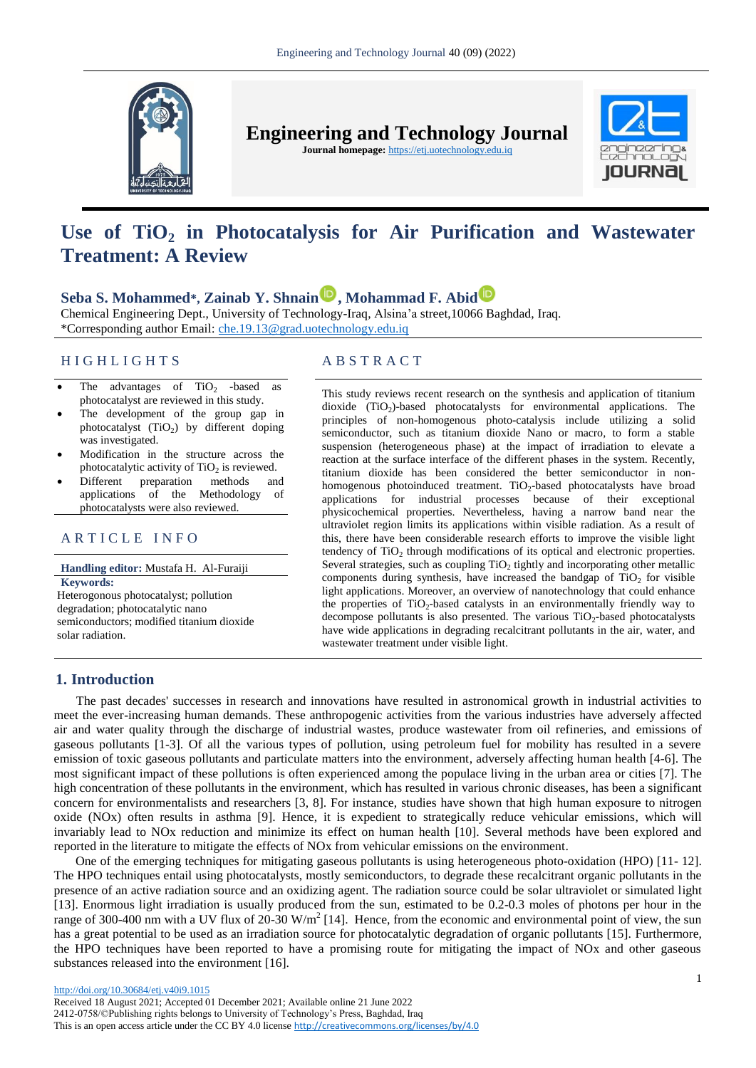

**Engineering and Technology Journal** 

**Journal homepage:** https://etj.uotechnology.edu.iq



# **Use of TiO<sup>2</sup> in Photocatalysis for Air Purification and Wastewater Treatment: A Review**

# **Seba S. Mohammed\*, Zainab Y. Shnai[n](https://orcid.org/0000-0002-3953-9623) , Mohammad F. Abid**

Chemical Engineering Dept., University of Technology-Iraq, Alsina'a street,10066 Baghdad, Iraq. \*Corresponding author Email: [che.19.13@grad.uotechnology.edu.iq](file:///C:/Users/Ameera/Downloads/che.19.13@grad.uotechnology.edu.iq)

# H I G H L I G H T S A B S T R A C T

- The advantages of  $TiO<sub>2</sub>$  -based as photocatalyst are reviewed in this study.
- The development of the group gap in photocatalyst  $(TiO<sub>2</sub>)$  by different doping was investigated.
- Modification in the structure across the photocatalytic activity of  $TiO<sub>2</sub>$  is reviewed.
- Different preparation methods and applications of the Methodology of photocatalysts were also reviewed.

# ARTICLE INFO

**Handling editor:** Mustafa H. Al-Furaiji **Keywords:**

Heterogonous photocatalyst; pollution degradation; photocatalytic nano semiconductors; modified titanium dioxide solar radiation.

This study reviews recent research on the synthesis and application of titanium dioxide (TiO<sub>2</sub>)-based photocatalysts for environmental applications. The principles of non-homogenous photo-catalysis include utilizing a solid semiconductor, such as titanium dioxide Nano or macro, to form a stable suspension (heterogeneous phase) at the impact of irradiation to elevate a reaction at the surface interface of the different phases in the system. Recently, titanium dioxide has been considered the better semiconductor in nonhomogenous photoinduced treatment. TiO<sub>2</sub>-based photocatalysts have broad applications for industrial processes because of their exceptional physicochemical properties. Nevertheless, having a narrow band near the ultraviolet region limits its applications within visible radiation. As a result of this, there have been considerable research efforts to improve the visible light tendency of  $TiO<sub>2</sub>$  through modifications of its optical and electronic properties. Several strategies, such as coupling  $TiO<sub>2</sub>$  tightly and incorporating other metallic components during synthesis, have increased the bandgap of  $TiO<sub>2</sub>$  for visible light applications. Moreover, an overview of nanotechnology that could enhance the properties of  $TiO<sub>2</sub>$ -based catalysts in an environmentally friendly way to decompose pollutants is also presented. The various  $TiO<sub>2</sub>$ -based photocatalysts have wide applications in degrading recalcitrant pollutants in the air, water, and wastewater treatment under visible light.

# **1. Introduction**

 The past decades' successes in research and innovations have resulted in astronomical growth in industrial activities to meet the ever-increasing human demands. These anthropogenic activities from the various industries have adversely affected air and water quality through the discharge of industrial wastes, produce wastewater from oil refineries, and emissions of gaseous pollutants [1-3]. Of all the various types of pollution, using petroleum fuel for mobility has resulted in a severe emission of toxic gaseous pollutants and particulate matters into the environment, adversely affecting human health [4-6]. The most significant impact of these pollutions is often experienced among the populace living in the urban area or cities [7]. The high concentration of these pollutants in the environment, which has resulted in various chronic diseases, has been a significant concern for environmentalists and researchers [3, 8]. For instance, studies have shown that high human exposure to nitrogen oxide (NOx) often results in asthma [9]. Hence, it is expedient to strategically reduce vehicular emissions, which will invariably lead to NOx reduction and minimize its effect on human health [10]. Several methods have been explored and reported in the literature to mitigate the effects of NOx from vehicular emissions on the environment.

One of the emerging techniques for mitigating gaseous pollutants is using heterogeneous photo-oxidation (HPO) [11- 12]. The HPO techniques entail using photocatalysts, mostly semiconductors, to degrade these recalcitrant organic pollutants in the presence of an active radiation source and an oxidizing agent. The radiation source could be solar ultraviolet or simulated light [13]. Enormous light irradiation is usually produced from the sun, estimated to be 0.2-0.3 moles of photons per hour in the range of 300-400 nm with a UV flux of  $20-30$  W/m<sup>2</sup> [14]. Hence, from the economic and environmental point of view, the sun has a great potential to be used as an irradiation source for photocatalytic degradation of organic pollutants [15]. Furthermore, the HPO techniques have been reported to have a promising route for mitigating the impact of NOx and other gaseous substances released into the environment [16].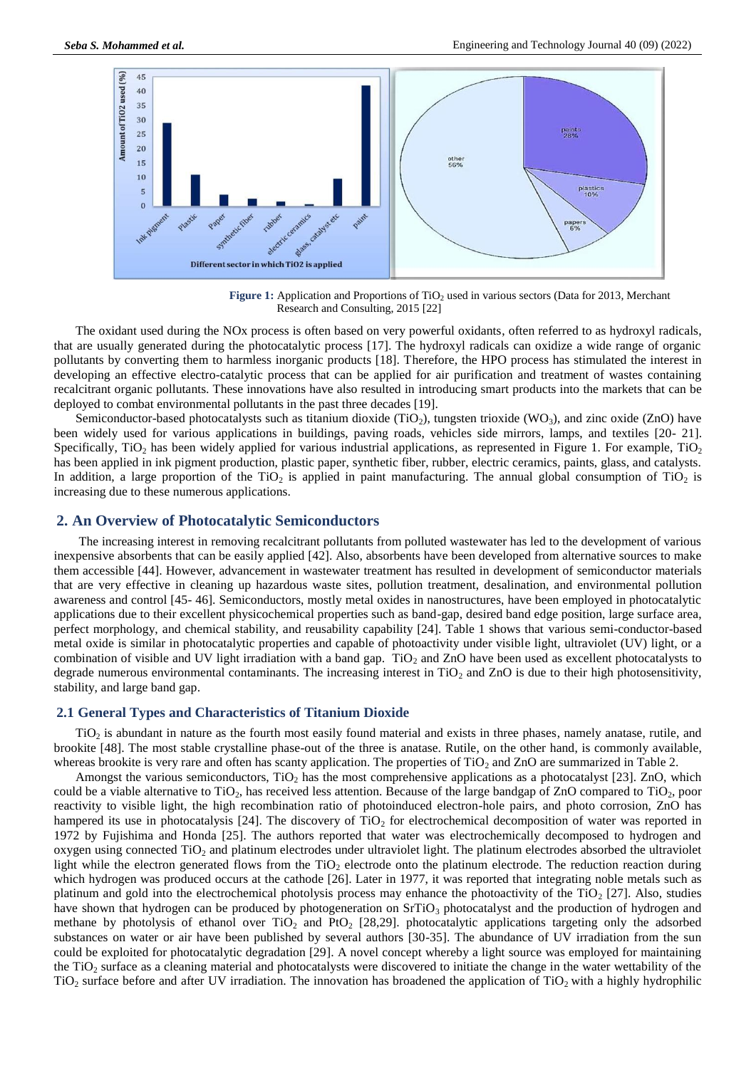

Figure 1: Application and Proportions of TiO<sub>2</sub> used in various sectors (Data for 2013, Merchant Research and Consulting, 2015 [22]

The oxidant used during the NOx process is often based on very powerful oxidants, often referred to as hydroxyl radicals, that are usually generated during the photocatalytic process [17]. The hydroxyl radicals can oxidize a wide range of organic pollutants by converting them to harmless inorganic products [18]. Therefore, the HPO process has stimulated the interest in developing an effective electro-catalytic process that can be applied for air purification and treatment of wastes containing recalcitrant organic pollutants. These innovations have also resulted in introducing smart products into the markets that can be deployed to combat environmental pollutants in the past three decades [19].

Semiconductor-based photocatalysts such as titanium dioxide (TiO<sub>2</sub>), tungsten trioxide (WO<sub>3</sub>), and zinc oxide (ZnO) have been widely used for various applications in buildings, paving roads, vehicles side mirrors, lamps, and textiles [20- 21]. Specifically, TiO<sub>2</sub> has been widely applied for various industrial applications, as represented in Figure 1. For example, TiO<sub>2</sub> has been applied in ink pigment production, plastic paper, synthetic fiber, rubber, electric ceramics, paints, glass, and catalysts. In addition, a large proportion of the TiO<sub>2</sub> is applied in paint manufacturing. The annual global consumption of TiO<sub>2</sub> is increasing due to these numerous applications.

### **2. An Overview of Photocatalytic Semiconductors**

The increasing interest in removing recalcitrant pollutants from polluted wastewater has led to the development of various inexpensive absorbents that can be easily applied [42]. Also, absorbents have been developed from alternative sources to make them accessible [44]. However, advancement in wastewater treatment has resulted in development of semiconductor materials that are very effective in cleaning up hazardous waste sites, pollution treatment, desalination, and environmental pollution awareness and control [45- 46]. Semiconductors, mostly metal oxides in nanostructures, have been employed in photocatalytic applications due to their excellent physicochemical properties such as band-gap, desired band edge position, large surface area, perfect morphology, and chemical stability, and reusability capability [24]. Table 1 shows that various semi-conductor-based metal oxide is similar in photocatalytic properties and capable of photoactivity under visible light, ultraviolet (UV) light, or a combination of visible and UV light irradiation with a band gap. TiO<sub>2</sub> and ZnO have been used as excellent photocatalysts to degrade numerous environmental contaminants. The increasing interest in  $TiO<sub>2</sub>$  and  $ZnO$  is due to their high photosensitivity, stability, and large band gap.

#### **2.1 General Types and Characteristics of Titanium Dioxide**

 $TiO<sub>2</sub>$  is abundant in nature as the fourth most easily found material and exists in three phases, namely anatase, rutile, and brookite [48]. The most stable crystalline phase-out of the three is anatase. Rutile, on the other hand, is commonly available, whereas brookite is very rare and often has scanty application. The properties of  $TiO<sub>2</sub>$  and  $ZnO$  are summarized in Table 2.

Amongst the various semiconductors,  $TiO<sub>2</sub>$  has the most comprehensive applications as a photocatalyst [23]. ZnO, which could be a viable alternative to  $TiO<sub>2</sub>$ , has received less attention. Because of the large bandgap of ZnO compared to  $TiO<sub>2</sub>$ , poor reactivity to visible light, the high recombination ratio of photoinduced electron-hole pairs, and photo corrosion, ZnO has hampered its use in photocatalysis [24]. The discovery of  $TiO<sub>2</sub>$  for electrochemical decomposition of water was reported in 1972 by Fujishima and Honda [25]. The authors reported that water was electrochemically decomposed to hydrogen and oxygen using connected  $TiO<sub>2</sub>$  and platinum electrodes under ultraviolet light. The platinum electrodes absorbed the ultraviolet light while the electron generated flows from the  $TiO<sub>2</sub>$  electrode onto the platinum electrode. The reduction reaction during which hydrogen was produced occurs at the cathode [26]. Later in 1977, it was reported that integrating noble metals such as platinum and gold into the electrochemical photolysis process may enhance the photoactivity of the TiO<sub>2</sub> [27]. Also, studies have shown that hydrogen can be produced by photogeneration on SrTiO<sub>3</sub> photocatalyst and the production of hydrogen and methane by photolysis of ethanol over  $TiO<sub>2</sub>$  and  $PtO<sub>2</sub>$  [28,29]. photocatalytic applications targeting only the adsorbed substances on water or air have been published by several authors [30-35]. The abundance of UV irradiation from the sun could be exploited for photocatalytic degradation [29]. A novel concept whereby a light source was employed for maintaining the TiO<sub>2</sub> surface as a cleaning material and photocatalysts were discovered to initiate the change in the water wettability of the  $TiO<sub>2</sub>$  surface before and after UV irradiation. The innovation has broadened the application of  $TiO<sub>2</sub>$  with a highly hydrophilic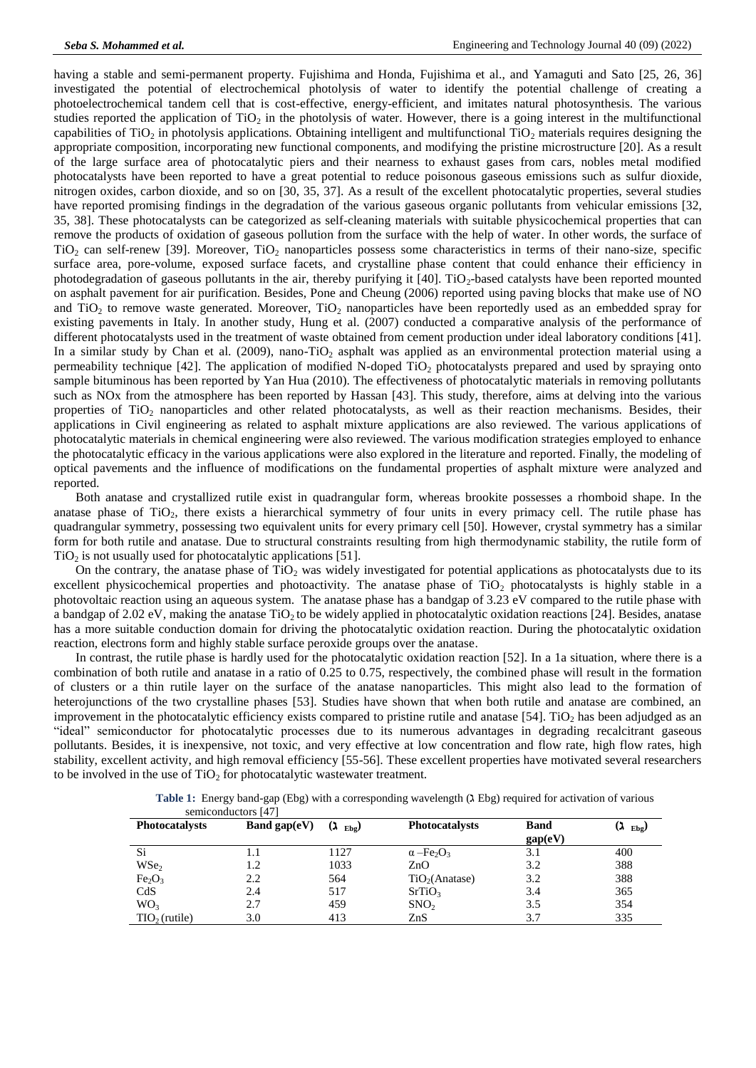having a stable and semi-permanent property. Fujishima and Honda, Fujishima et al., and Yamaguti and Sato [25, 26, 36] investigated the potential of electrochemical photolysis of water to identify the potential challenge of creating a photoelectrochemical tandem cell that is cost-effective, energy-efficient, and imitates natural photosynthesis. The various studies reported the application of  $TiO<sub>2</sub>$  in the photolysis of water. However, there is a going interest in the multifunctional capabilities of TiO<sub>2</sub> in photolysis applications. Obtaining intelligent and multifunctional TiO<sub>2</sub> materials requires designing the appropriate composition, incorporating new functional components, and modifying the pristine microstructure [20]. As a result of the large surface area of photocatalytic piers and their nearness to exhaust gases from cars, nobles metal modified photocatalysts have been reported to have a great potential to reduce poisonous gaseous emissions such as sulfur dioxide, nitrogen oxides, carbon dioxide, and so on [30, 35, 37]. As a result of the excellent photocatalytic properties, several studies have reported promising findings in the degradation of the various gaseous organic pollutants from vehicular emissions [32, 35, 38]. These photocatalysts can be categorized as self-cleaning materials with suitable physicochemical properties that can remove the products of oxidation of gaseous pollution from the surface with the help of water. In other words, the surface of  $TiO<sub>2</sub>$  can self-renew [39]. Moreover,  $TiO<sub>2</sub>$  nanoparticles possess some characteristics in terms of their nano-size, specific surface area, pore-volume, exposed surface facets, and crystalline phase content that could enhance their efficiency in photodegradation of gaseous pollutants in the air, thereby purifying it  $[40]$ . TiO<sub>2</sub>-based catalysts have been reported mounted on asphalt pavement for air purification. Besides, Pone and Cheung (2006) reported using paving blocks that make use of NO and  $\text{TiO}_2$  to remove waste generated. Moreover,  $\text{TiO}_2$  nanoparticles have been reportedly used as an embedded spray for existing pavements in Italy. In another study, Hung et al. (2007) conducted a comparative analysis of the performance of different photocatalysts used in the treatment of waste obtained from cement production under ideal laboratory conditions [41]. In a similar study by Chan et al. (2009), nano-TiO<sub>2</sub> asphalt was applied as an environmental protection material using a permeability technique  $[42]$ . The application of modified N-doped TiO<sub>2</sub> photocatalysts prepared and used by spraying onto sample bituminous has been reported by Yan Hua (2010). The effectiveness of photocatalytic materials in removing pollutants such as NOx from the atmosphere has been reported by Hassan [43]. This study, therefore, aims at delving into the various properties of TiO<sub>2</sub> nanoparticles and other related photocatalysts, as well as their reaction mechanisms. Besides, their applications in Civil engineering as related to asphalt mixture applications are also reviewed. The various applications of photocatalytic materials in chemical engineering were also reviewed. The various modification strategies employed to enhance the photocatalytic efficacy in the various applications were also explored in the literature and reported. Finally, the modeling of optical pavements and the influence of modifications on the fundamental properties of asphalt mixture were analyzed and reported.

Both anatase and crystallized rutile exist in quadrangular form, whereas brookite possesses a rhomboid shape. In the anatase phase of TiO<sub>2</sub>, there exists a hierarchical symmetry of four units in every primacy cell. The rutile phase has quadrangular symmetry, possessing two equivalent units for every primary cell [50]. However, crystal symmetry has a similar form for both rutile and anatase. Due to structural constraints resulting from high thermodynamic stability, the rutile form of  $TiO<sub>2</sub>$  is not usually used for photocatalytic applications [51].

On the contrary, the anatase phase of  $TiO<sub>2</sub>$  was widely investigated for potential applications as photocatalysts due to its excellent physicochemical properties and photoactivity. The anatase phase of  $TiO<sub>2</sub>$  photocatalysts is highly stable in a photovoltaic reaction using an aqueous system. The anatase phase has a bandgap of 3.23 eV compared to the rutile phase with a bandgap of 2.02 eV, making the anatase  $TiO<sub>2</sub>$  to be widely applied in photocatalytic oxidation reactions [24]. Besides, anatase has a more suitable conduction domain for driving the photocatalytic oxidation reaction. During the photocatalytic oxidation reaction, electrons form and highly stable surface peroxide groups over the anatase.

In contrast, the rutile phase is hardly used for the photocatalytic oxidation reaction [52]. In a 1a situation, where there is a combination of both rutile and anatase in a ratio of 0.25 to 0.75, respectively, the combined phase will result in the formation of clusters or a thin rutile layer on the surface of the anatase nanoparticles. This might also lead to the formation of heterojunctions of the two crystalline phases [53]. Studies have shown that when both rutile and anatase are combined, an improvement in the photocatalytic efficiency exists compared to pristine rutile and anatase  $[54]$ . TiO<sub>2</sub> has been adjudged as an "ideal" semiconductor for photocatalytic processes due to its numerous advantages in degrading recalcitrant gaseous pollutants. Besides, it is inexpensive, not toxic, and very effective at low concentration and flow rate, high flow rates, high stability, excellent activity, and high removal efficiency [55-56]. These excellent properties have motivated several researchers to be involved in the use of  $TiO<sub>2</sub>$  for photocatalytic wastewater treatment.

|                     | Table 1: Energy band-gap (Ebg) with a corresponding wavelength (1 Ebg) required for activation of various |
|---------------------|-----------------------------------------------------------------------------------------------------------|
| comiconductors [47] |                                                                                                           |

| <b>Photocatalysts</b>          | $\sum$<br>Band gap $(eV)$ | $\Omega$<br>$_{Ebo}$ | <b>Photocatalysts</b>                    | <b>Band</b><br>gap(eV) | $(\lambda$ Ebg |
|--------------------------------|---------------------------|----------------------|------------------------------------------|------------------------|----------------|
| Si                             |                           | 1127                 | $\alpha$ -Fe <sub>2</sub> O <sub>3</sub> | 3.1                    | 400            |
| WSe <sub>2</sub>               | 1.2                       | 1033                 | ZnO                                      | 3.2                    | 388            |
| Fe <sub>2</sub> O <sub>3</sub> | 2.2                       | 564                  | TiO <sub>2</sub> (Anatase)               | 3.2                    | 388            |
| CdS                            | 2.4                       | 517                  | SrTiO <sub>3</sub>                       | 3.4                    | 365            |
| WO <sub>3</sub>                | 2.7                       | 459                  | SNO <sub>2</sub>                         | 3.5                    | 354            |
| $TIO2$ (rutile)                | 3.0                       | 413                  | ZnS                                      | 3.7                    | 335            |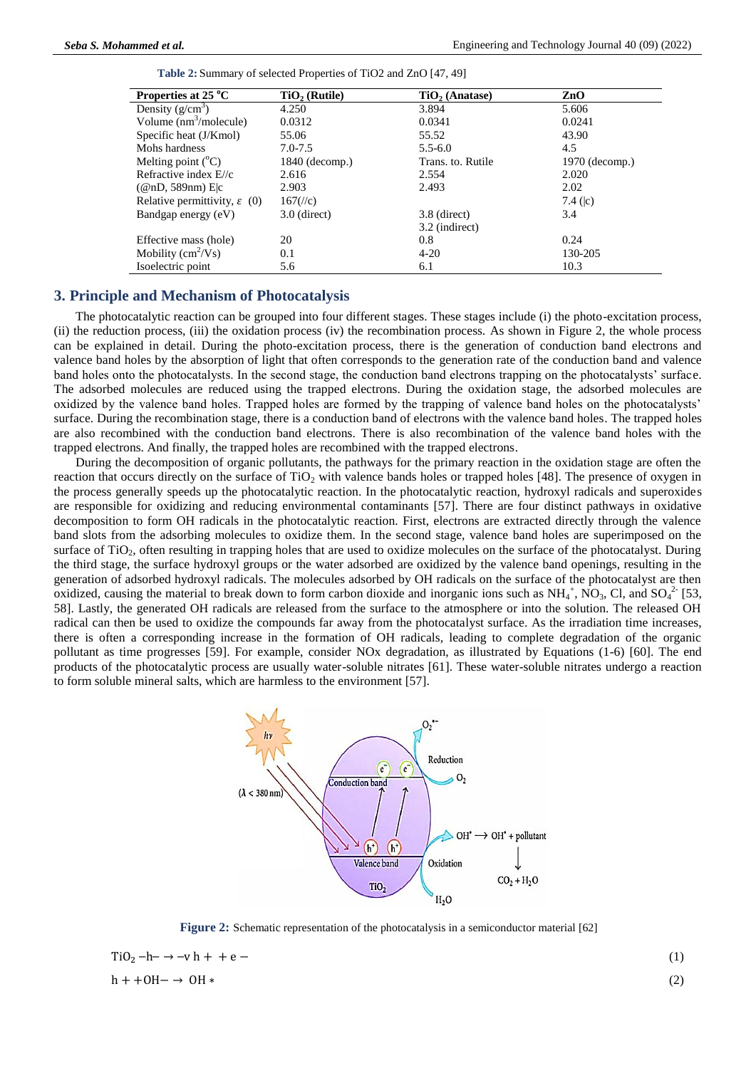| Table 2: Summary of selected Properties of TiO2 and ZnO [47, 49] |
|------------------------------------------------------------------|
|------------------------------------------------------------------|

| Properties at 25 °C                      | $TiO2$ (Rutile) | $TiO2$ (Anatase)  | ZnO              |
|------------------------------------------|-----------------|-------------------|------------------|
| Density $(g/cm^3)$                       | 4.250           | 3.894             | 5.606            |
| Volume $(nm^3/molecule)$                 | 0.0312          | 0.0341            | 0.0241           |
| Specific heat (J/Kmol)                   | 55.06           | 55.52             | 43.90            |
| Mohs hardness                            | $7.0 - 7.5$     | $5.5 - 6.0$       | 4.5              |
| Melting point $(^{\circ}C)$              | 1840 (decomp.)  | Trans. to. Rutile | $1970$ (decomp.) |
| Refractive index E//c                    | 2.616           | 2.554             | 2.020            |
| $(\mathcal{Q}nD, 589nm)$ E c             | 2.903           | 2.493             | 2.02             |
| Relative permittivity, $\varepsilon$ (0) | $167$ (//c)     |                   | 7.4 $(k)$        |
| Bandgap energy (eV)                      | $3.0$ (direct)  | 3.8 (direct)      | 3.4              |
|                                          |                 | 3.2 (indirect)    |                  |
| Effective mass (hole)                    | 20              | 0.8               | 0.24             |
| Mobility $(cm^2/Vs)$                     | 0.1             | $4 - 20$          | 130-205          |
| Isoelectric point                        | 5.6             | 6.1               | 10.3             |

# **3. Principle and Mechanism of Photocatalysis**

The photocatalytic reaction can be grouped into four different stages. These stages include (i) the photo-excitation process, (ii) the reduction process, (iii) the oxidation process (iv) the recombination process. As shown in Figure 2, the whole process can be explained in detail. During the photo-excitation process, there is the generation of conduction band electrons and valence band holes by the absorption of light that often corresponds to the generation rate of the conduction band and valence band holes onto the photocatalysts. In the second stage, the conduction band electrons trapping on the photocatalysts' surface. The adsorbed molecules are reduced using the trapped electrons. During the oxidation stage, the adsorbed molecules are oxidized by the valence band holes. Trapped holes are formed by the trapping of valence band holes on the photocatalysts' surface. During the recombination stage, there is a conduction band of electrons with the valence band holes. The trapped holes are also recombined with the conduction band electrons. There is also recombination of the valence band holes with the trapped electrons. And finally, the trapped holes are recombined with the trapped electrons.

During the decomposition of organic pollutants, the pathways for the primary reaction in the oxidation stage are often the reaction that occurs directly on the surface of  $TiO<sub>2</sub>$  with valence bands holes or trapped holes [48]. The presence of oxygen in the process generally speeds up the photocatalytic reaction. In the photocatalytic reaction, hydroxyl radicals and superoxides are responsible for oxidizing and reducing environmental contaminants [57]. There are four distinct pathways in oxidative decomposition to form OH radicals in the photocatalytic reaction. First, electrons are extracted directly through the valence band slots from the adsorbing molecules to oxidize them. In the second stage, valence band holes are superimposed on the surface of TiO<sub>2</sub>, often resulting in trapping holes that are used to oxidize molecules on the surface of the photocatalyst. During the third stage, the surface hydroxyl groups or the water adsorbed are oxidized by the valence band openings, resulting in the generation of adsorbed hydroxyl radicals. The molecules adsorbed by OH radicals on the surface of the photocatalyst are then oxidized, causing the material to break down to form carbon dioxide and inorganic ions such as  $NH_4^+$ , NO<sub>3</sub>, Cl, and SO<sub>4</sub><sup>2</sup> [53, 58]. Lastly, the generated OH radicals are released from the surface to the atmosphere or into the solution. The released OH radical can then be used to oxidize the compounds far away from the photocatalyst surface. As the irradiation time increases, there is often a corresponding increase in the formation of OH radicals, leading to complete degradation of the organic pollutant as time progresses [59]. For example, consider NOx degradation, as illustrated by Equations (1-6) [60]. The end products of the photocatalytic process are usually water-soluble nitrates [61]. These water-soluble nitrates undergo a reaction to form soluble mineral salts, which are harmless to the environment [57].



**Figure 2:** Schematic representation of the photocatalysis in a semiconductor material [62]

| $TiO2 - h- \rightarrow -v h + + e -$ |     |
|--------------------------------------|-----|
| $h + +OH - \rightarrow OH$           | (2) |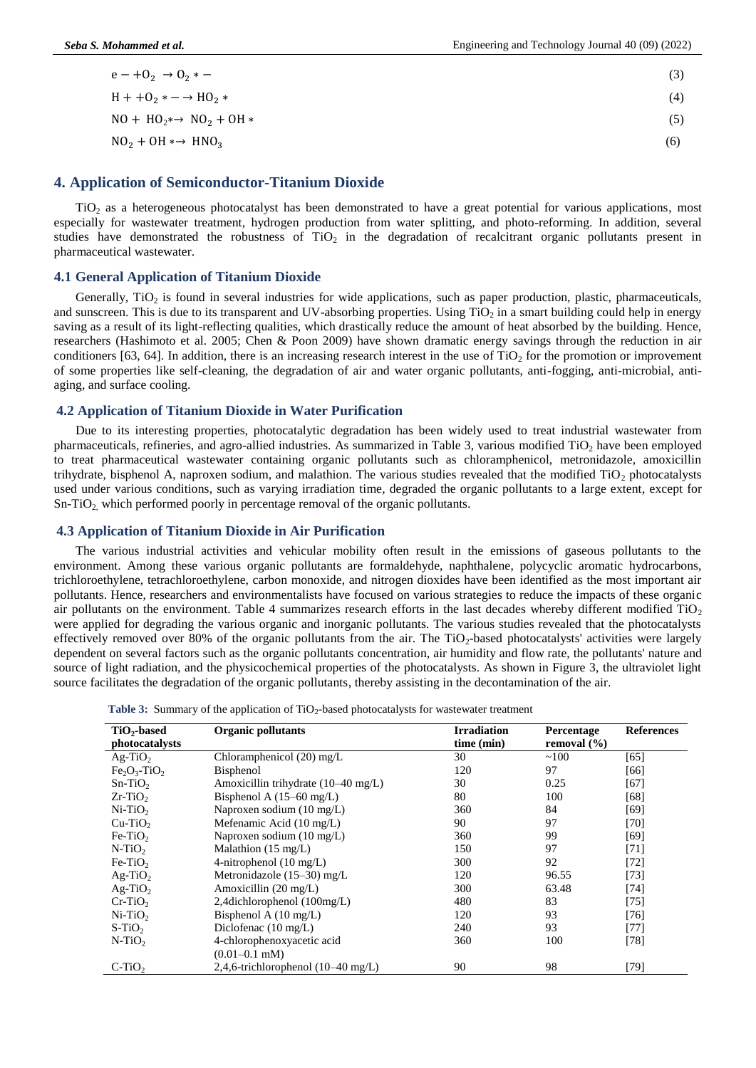| $e - +0_2 \rightarrow 0_2$ * -                | (3) |
|-----------------------------------------------|-----|
| $H + 0_2 * - \rightarrow HO_2 *$              | (4) |
| $NO + HO_2 \rightarrow NO_2 + OH \rightarrow$ | (5) |
| $NO2 + OH \rightarrow HNO3$                   | (6) |

#### **4. Application of Semiconductor-Titanium Dioxide**

TiO<sup>2</sup> as a heterogeneous photocatalyst has been demonstrated to have a great potential for various applications, most especially for wastewater treatment, hydrogen production from water splitting, and photo-reforming. In addition, several studies have demonstrated the robustness of  $TiO<sub>2</sub>$  in the degradation of recalcitrant organic pollutants present in pharmaceutical wastewater.

#### **4.1 General Application of Titanium Dioxide**

Generally,  $TiO<sub>2</sub>$  is found in several industries for wide applications, such as paper production, plastic, pharmaceuticals, and sunscreen. This is due to its transparent and UV-absorbing properties. Using  $TiO<sub>2</sub>$  in a smart building could help in energy saving as a result of its light-reflecting qualities, which drastically reduce the amount of heat absorbed by the building. Hence, researchers (Hashimoto et al. 2005; Chen & Poon 2009) have shown dramatic energy savings through the reduction in air conditioners [63, 64]. In addition, there is an increasing research interest in the use of  $TiO<sub>2</sub>$  for the promotion or improvement of some properties like self-cleaning, the degradation of air and water organic pollutants, anti-fogging, anti-microbial, antiaging, and surface cooling.

# **4.2 Application of Titanium Dioxide in Water Purification**

Due to its interesting properties, photocatalytic degradation has been widely used to treat industrial wastewater from pharmaceuticals, refineries, and agro-allied industries. As summarized in Table 3, various modified  $TiO<sub>2</sub>$  have been employed to treat pharmaceutical wastewater containing organic pollutants such as chloramphenicol, metronidazole, amoxicillin trihydrate, bisphenol A, naproxen sodium, and malathion. The various studies revealed that the modified  $TiO<sub>2</sub>$  photocatalysts used under various conditions, such as varying irradiation time, degraded the organic pollutants to a large extent, except for Sn-TiO<sub>2</sub>, which performed poorly in percentage removal of the organic pollutants.

#### **4.3 Application of Titanium Dioxide in Air Purification**

The various industrial activities and vehicular mobility often result in the emissions of gaseous pollutants to the environment. Among these various organic pollutants are formaldehyde, naphthalene, polycyclic aromatic hydrocarbons, trichloroethylene, tetrachloroethylene, carbon monoxide, and nitrogen dioxides have been identified as the most important air pollutants. Hence, researchers and environmentalists have focused on various strategies to reduce the impacts of these organic air pollutants on the environment. Table 4 summarizes research efforts in the last decades whereby different modified  $TiO<sub>2</sub>$ were applied for degrading the various organic and inorganic pollutants. The various studies revealed that the photocatalysts effectively removed over 80% of the organic pollutants from the air. The TiO<sub>2</sub>-based photocatalysts' activities were largely dependent on several factors such as the organic pollutants concentration, air humidity and flow rate, the pollutants' nature and source of light radiation, and the physicochemical properties of the photocatalysts. As shown in Figure 3, the ultraviolet light source facilitates the degradation of the organic pollutants, thereby assisting in the decontamination of the air.

| $TiO2$ -based  | <b>Organic pollutants</b>                    | <b>Irradiation</b> | Percentage      | <b>References</b> |
|----------------|----------------------------------------------|--------------------|-----------------|-------------------|
| photocatalysts |                                              | time (min)         | removal $(\% )$ |                   |
| $Ag-TiO2$      | Chloramphenicol (20) mg/L                    | 30                 | ~100            | [65]              |
| $Fe2O3-TiO2$   | <b>Bisphenol</b>                             | 120                | 97              | [66]              |
| $Sn-TiO2$      | Amoxicillin trihydrate (10-40 mg/L)          | 30                 | 0.25            | [67]              |
| $Zr-TiO2$      | Bisphenol A $(15-60 \text{ mg/L})$           | 80                 | 100             | $[68]$            |
| $Ni-TiO2$      | Naproxen sodium (10 mg/L)                    | 360                | 84              | [69]              |
| $Cu-TiO2$      | Mefenamic Acid (10 mg/L)                     | 90                 | 97              | [70]              |
| $Fe-TiO2$      | Naproxen sodium (10 mg/L)                    | 360                | 99              | [69]              |
| $N-TiO2$       | Malathion $(15 \text{ mg/L})$                | 150                | 97              | [71]              |
| $Fe-TiO2$      | 4-nitrophenol $(10 \text{ mg/L})$            | 300                | 92              | $[72]$            |
| $Ag-TiO2$      | Metronidazole $(15-30)$ mg/L                 | 120                | 96.55           | $[73]$            |
| $Ag-TiO2$      | Amoxicillin $(20 \text{ mg/L})$              | 300                | 63.48           | $[74]$            |
| $Cr-TiO2$      | 2,4dichlorophenol $(100mg/L)$                | 480                | 83              | [75]              |
| $Ni-TiO2$      | Bisphenol A $(10 \text{ mg/L})$              | 120                | 93              | $[76]$            |
| $S-TiO2$       | Diclofenac (10 mg/L)                         | 240                | 93              | [77]              |
| $N-TiO2$       | 4-chlorophenoxyacetic acid                   | 360                | 100             | $[78]$            |
|                | $(0.01 - 0.1$ mM)                            |                    |                 |                   |
| $C-TiO2$       | 2,4,6-trichlorophenol $(10-40 \text{ mg/L})$ | 90                 | 98              | [79]              |

Table 3: Summary of the application of TiO<sub>2</sub>-based photocatalysts for wastewater treatment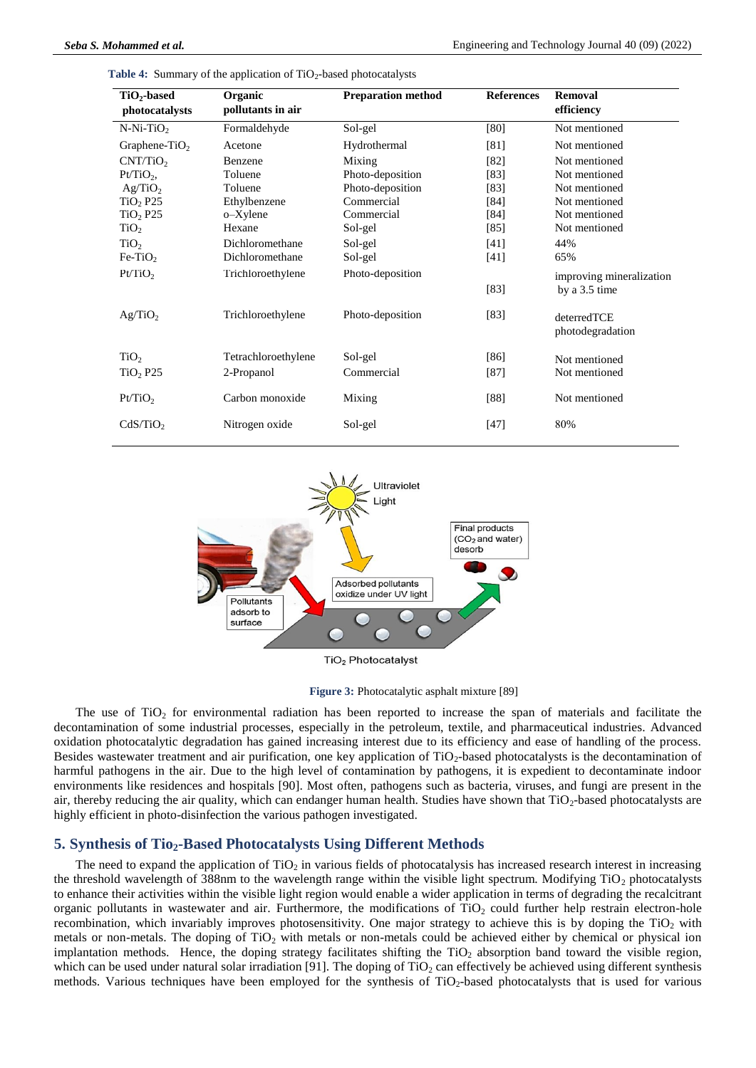| $TiO2$ -based<br>photocatalysts | Organic<br>pollutants in air | <b>Preparation method</b> | <b>References</b> | Removal<br>efficiency                     |
|---------------------------------|------------------------------|---------------------------|-------------------|-------------------------------------------|
| $N-Ni-TiO2$                     | Formaldehyde                 | Sol-gel                   | [80]              | Not mentioned                             |
| Graphene-TiO <sub>2</sub>       | Acetone                      | Hydrothermal              | [81]              | Not mentioned                             |
| CNT/TiO <sub>2</sub>            | <b>Benzene</b>               | Mixing                    | [82]              | Not mentioned                             |
| $Pt/TiO2$ ,                     | Toluene                      | Photo-deposition          | [83]              | Not mentioned                             |
| Ag/TiO <sub>2</sub>             | Toluene                      | Photo-deposition          | [83]              | Not mentioned                             |
| $TiO2$ P25                      | Ethylbenzene                 | Commercial                | [84]              | Not mentioned                             |
| $TiO2$ P25                      | o-Xylene                     | Commercial                | [84]              | Not mentioned                             |
| TiO <sub>2</sub>                | Hexane                       | Sol-gel                   | [85]              | Not mentioned                             |
| TiO <sub>2</sub>                | Dichloromethane              | Sol-gel                   | [41]              | 44%                                       |
| $Fe-TiO2$                       | Dichloromethane              | Sol-gel                   | [41]              | 65%                                       |
| Pt/TiO <sub>2</sub>             | Trichloroethylene            | Photo-deposition          | [83]              | improving mineralization<br>by a 3.5 time |
| Ag/TiO <sub>2</sub>             | Trichloroethylene            | Photo-deposition          | [83]              | deterredTCE<br>photodegradation           |
| TiO <sub>2</sub>                | Tetrachloroethylene          | Sol-gel                   | [86]              | Not mentioned                             |
| TiO <sub>2</sub> P25            | 2-Propanol                   | Commercial                | $[87]$            | Not mentioned                             |
| Pt/TiO <sub>2</sub>             | Carbon monoxide              | Mixing                    | [88]              | Not mentioned                             |
| CdS/TiO <sub>2</sub>            | Nitrogen oxide               | Sol-gel                   | $[47]$            | 80%                                       |

Table 4: Summary of the application of TiO<sub>2</sub>-based photocatalysts



**Figure 3:** Photocatalytic asphalt mixture [89]

The use of  $TiO<sub>2</sub>$  for environmental radiation has been reported to increase the span of materials and facilitate the decontamination of some industrial processes, especially in the petroleum, textile, and pharmaceutical industries. Advanced oxidation photocatalytic degradation has gained increasing interest due to its efficiency and ease of handling of the process. Besides wastewater treatment and air purification, one key application of  $TiO<sub>2</sub>$ -based photocatalysts is the decontamination of harmful pathogens in the air. Due to the high level of contamination by pathogens, it is expedient to decontaminate indoor environments like residences and hospitals [90]. Most often, pathogens such as bacteria, viruses, and fungi are present in the air, thereby reducing the air quality, which can endanger human health. Studies have shown that TiO<sub>2</sub>-based photocatalysts are highly efficient in photo-disinfection the various pathogen investigated.

# **5. Synthesis of Tio2-Based Photocatalysts Using Different Methods**

The need to expand the application of  $TiO<sub>2</sub>$  in various fields of photocatalysis has increased research interest in increasing the threshold wavelength of 388nm to the wavelength range within the visible light spectrum. Modifying  $TiO<sub>2</sub>$  photocatalysts to enhance their activities within the visible light region would enable a wider application in terms of degrading the recalcitrant organic pollutants in wastewater and air. Furthermore, the modifications of  $TiO<sub>2</sub>$  could further help restrain electron-hole recombination, which invariably improves photosensitivity. One major strategy to achieve this is by doping the  $TiO<sub>2</sub>$  with metals or non-metals. The doping of  $TiO<sub>2</sub>$  with metals or non-metals could be achieved either by chemical or physical ion implantation methods. Hence, the doping strategy facilitates shifting the TiO<sub>2</sub> absorption band toward the visible region, which can be used under natural solar irradiation [91]. The doping of TiO<sub>2</sub> can effectively be achieved using different synthesis methods. Various techniques have been employed for the synthesis of TiO<sub>2</sub>-based photocatalysts that is used for various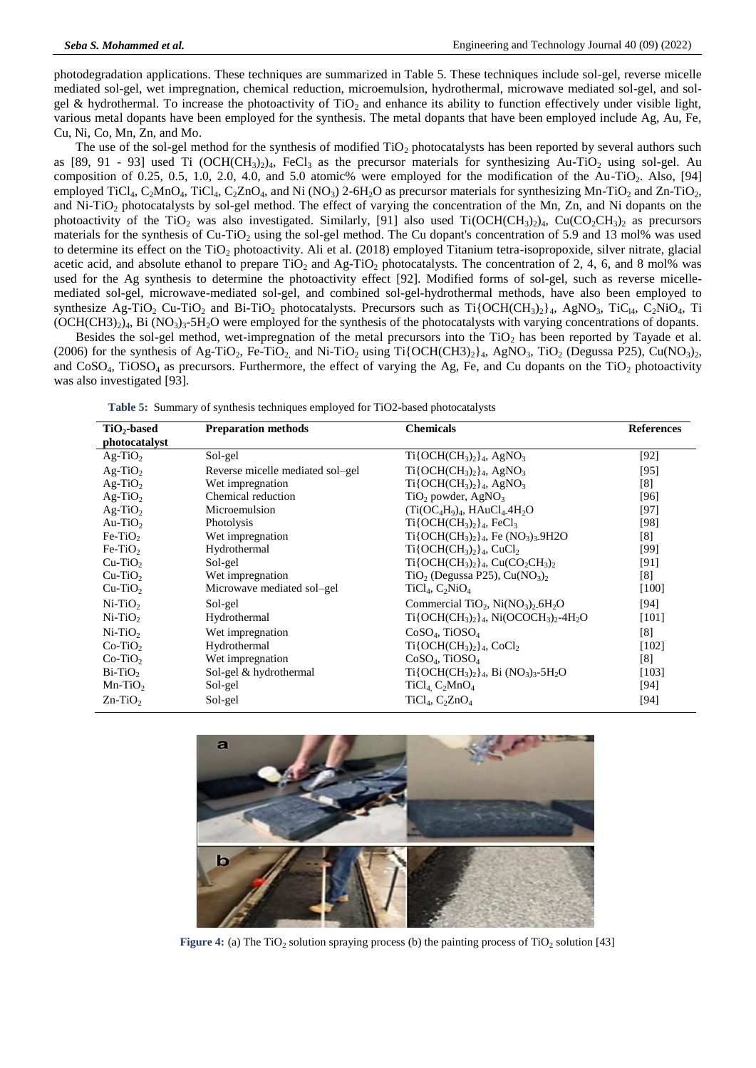photodegradation applications. These techniques are summarized in Table 5. These techniques include sol-gel, reverse micelle mediated sol-gel, wet impregnation, chemical reduction, microemulsion, hydrothermal, microwave mediated sol-gel, and solgel & hydrothermal. To increase the photoactivity of  $TiO<sub>2</sub>$  and enhance its ability to function effectively under visible light, various metal dopants have been employed for the synthesis. The metal dopants that have been employed include Ag, Au, Fe, Cu, Ni, Co, Mn, Zn, and Mo.

The use of the sol-gel method for the synthesis of modified  $TiO<sub>2</sub>$  photocatalysts has been reported by several authors such as [89, 91 - 93] used Ti (OCH(CH<sub>3</sub>)<sub>2</sub>)<sub>4</sub>, FeCl<sub>3</sub> as the precursor materials for synthesizing Au-TiO<sub>2</sub> using sol-gel. Au composition of 0.25, 0.5, 1.0, 2.0, 4.0, and 5.0 atomic% were employed for the modification of the Au-TiO<sub>2</sub>. Also, [94] employed TiCl<sub>4</sub>, C<sub>2</sub>MnO<sub>4</sub>, TiCl<sub>4</sub>, C<sub>2</sub>ZnO<sub>4</sub>, and Ni (NO<sub>3</sub>) 2-6H<sub>2</sub>O as precursor materials for synthesizing Mn-TiO<sub>2</sub> and Zn-TiO<sub>2</sub>, and Ni-TiO<sub>2</sub> photocatalysts by sol-gel method. The effect of varying the concentration of the Mn, Zn, and Ni dopants on the photoactivity of the TiO<sub>2</sub> was also investigated. Similarly, [91] also used Ti(OCH(CH<sub>3</sub>)<sub>2</sub>4, Cu(CO<sub>2</sub>CH<sub>3</sub>)<sub>2</sub> as precursors materials for the synthesis of Cu-TiO<sub>2</sub> using the sol-gel method. The Cu dopant's concentration of 5.9 and 13 mol% was used to determine its effect on the  $TiO<sub>2</sub>$  photoactivity. Ali et al. (2018) employed Titanium tetra-isopropoxide, silver nitrate, glacial acetic acid, and absolute ethanol to prepare  $TiO<sub>2</sub>$  and Ag-TiO<sub>2</sub> photocatalysts. The concentration of 2, 4, 6, and 8 mol% was used for the Ag synthesis to determine the photoactivity effect [92]. Modified forms of sol-gel, such as reverse micellemediated sol-gel, microwave-mediated sol-gel, and combined sol-gel-hydrothermal methods, have also been employed to synthesize Ag-TiO<sub>2</sub> Cu-TiO<sub>2</sub> and Bi-TiO<sub>2</sub> photocatalysts. Precursors such as Ti{OCH(CH<sub>3</sub>)<sub>2</sub>}<sub>4</sub>, AgNO<sub>3</sub>, TiC<sub>l4</sub>, C<sub>2</sub>NiO<sub>4</sub>, Ti  $(OCH(CH3)_2)_4$ , Bi  $(NO_3)_3$ -5H<sub>2</sub>O were employed for the synthesis of the photocatalysts with varying concentrations of dopants.

Besides the sol-gel method, wet-impregnation of the metal precursors into the  $TiO<sub>2</sub>$  has been reported by Tayade et al. (2006) for the synthesis of Ag-TiO<sub>2</sub>, Fe-TiO<sub>2</sub> and Ni-TiO<sub>2</sub> using Ti{OCH(CH3)<sub>2</sub>}<sub>4</sub>, AgNO<sub>3</sub>, TiO<sub>2</sub> (Degussa P25), Cu(NO<sub>3</sub>)<sub>2</sub>, and  $CoSO_4$ , TiOSO<sub>4</sub> as precursors. Furthermore, the effect of varying the Ag, Fe, and Cu dopants on the TiO<sub>2</sub> photoactivity was also investigated [93].

| $TiO2$ -based | <b>Preparation methods</b>       | <b>Chemicals</b>                                                                    | <b>References</b> |
|---------------|----------------------------------|-------------------------------------------------------------------------------------|-------------------|
| photocatalyst |                                  |                                                                                     |                   |
| $Ag-TiO2$     | Sol-gel                          | $Ti{QCH(CH_3)_2}_4$ , AgNO <sub>3</sub>                                             | $[92]$            |
| $Ag-TiO2$     | Reverse micelle mediated sol-gel | $Ti{OCH(CH_3)_2}_4$ , AgNO <sub>3</sub>                                             | $[95]$            |
| $Ag-TiO2$     | Wet impregnation                 | $Ti{OCH(CH_3)_2}_4$ , AgNO <sub>3</sub>                                             | [8]               |
| $Ag-TiO2$     | Chemical reduction               | $TiO2$ powder, AgNO <sub>3</sub>                                                    | [96]              |
| $Ag-TiO2$     | Microemulsion                    | $(Ti(OC4H9)4$ , HAuCl <sub>4</sub> .4H <sub>2</sub> O                               | [97]              |
| $Au-TiO2$     | Photolysis                       | $Ti\{OCH(CH_3)_{2}\}_4$ , FeCl <sub>3</sub>                                         | [98]              |
| $Fe-TiO2$     | Wet impregnation                 | $Ti\{OCH(CH_3)_2\}_4$ , Fe $(NO_3)_3.9H2O$                                          | [8]               |
| $Fe-TiO2$     | Hydrothermal                     | $Ti{QCH(CH_3)_2}_4$ , CuCl <sub>2</sub>                                             | [99]              |
| $Cu-TiO2$     | Sol-gel                          | $Ti\{OCH(CH_3)_2\}_4$ , $Cu(CO_2CH_3)_2$                                            | [91]              |
| $Cu-TiO2$     | Wet impregnation                 | $TiO2$ (Degussa P25), Cu(NO <sub>3</sub> ) <sub>2</sub>                             | [8]               |
| $Cu-TiO2$     | Microwave mediated sol-gel       | $TiCl4, C2NiO4$                                                                     | $[100]$           |
| $Ni-TiO2$     | Sol-gel                          | Commercial TiO <sub>2</sub> , Ni(NO <sub>3</sub> ) <sub>2</sub> , 6H <sub>2</sub> O | [94]              |
| $Ni-TiO2$     | Hydrothermal                     | $Ti\{OCH(CH_3)_2\}_4$ , Ni(OCOCH <sub>3</sub> ) <sub>2</sub> -4H <sub>2</sub> O     | [101]             |
| $Ni-TiO2$     | Wet impregnation                 | $CoSO4$ , TiOSO <sub>4</sub>                                                        | [8]               |
| $Co-TiO2$     | Hydrothermal                     | $Ti{OCH(CH_3)_2}_4$ , CoCl <sub>2</sub>                                             | $[102]$           |
| $Co-TiO2$     | Wet impregnation                 | $CoSO4$ , TiOSO <sub>4</sub>                                                        | [8]               |
| $Bi-TiO2$     | Sol-gel & hydrothermal           | $Ti\{OCH(CH_3)_{2}\}_4$ , Bi $(NO_3)_{3}$ -5H <sub>2</sub> O                        | [103]             |
| $Mn-TiO2$     | Sol-gel                          | $TiCl4 C2MnO4$                                                                      | [94]              |
| $Zn-TiO2$     | Sol-gel                          | $TiCl_4$ , $C_2ZnO_4$                                                               | [94]              |



Figure 4: (a) The TiO<sub>2</sub> solution spraying process (b) the painting process of TiO<sub>2</sub> solution [43]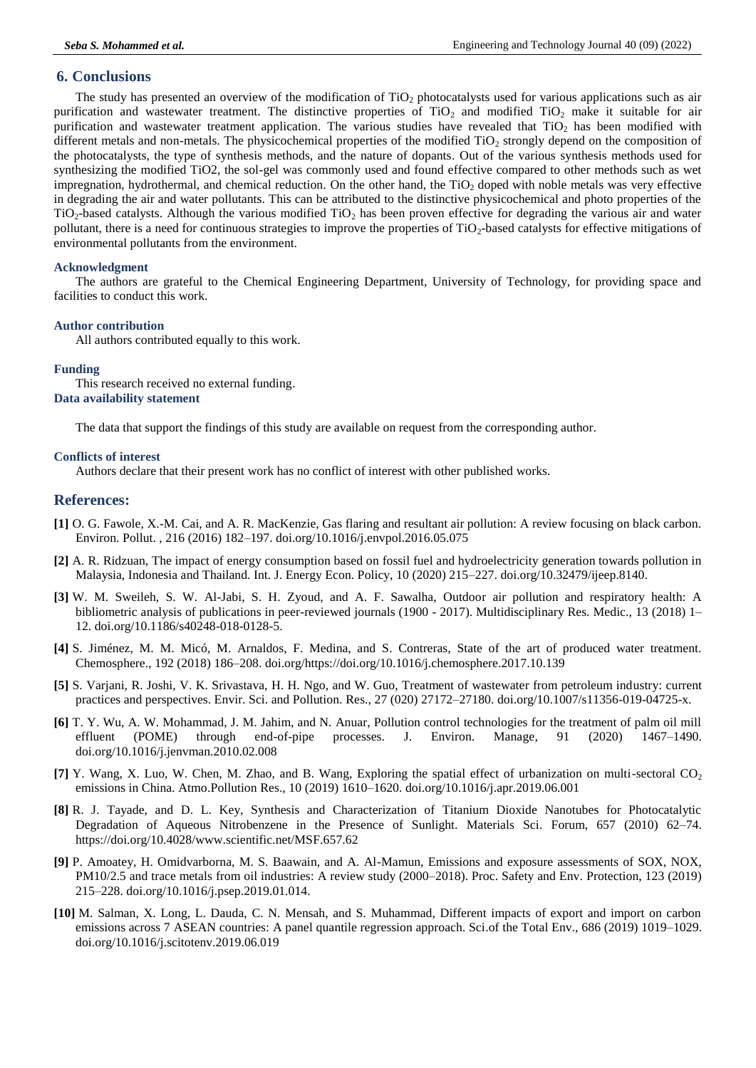# **6. Conclusions**

The study has presented an overview of the modification of  $TiO<sub>2</sub>$  photocatalysts used for various applications such as air purification and wastewater treatment. The distinctive properties of  $TiO<sub>2</sub>$  and modified  $TiO<sub>2</sub>$  make it suitable for air purification and wastewater treatment application. The various studies have revealed that  $TiO<sub>2</sub>$  has been modified with different metals and non-metals. The physicochemical properties of the modified  $TiO<sub>2</sub>$  strongly depend on the composition of the photocatalysts, the type of synthesis methods, and the nature of dopants. Out of the various synthesis methods used for synthesizing the modified TiO2, the sol-gel was commonly used and found effective compared to other methods such as wet impregnation, hydrothermal, and chemical reduction. On the other hand, the  $TiO<sub>2</sub>$  doped with noble metals was very effective in degrading the air and water pollutants. This can be attributed to the distinctive physicochemical and photo properties of the  $TiO<sub>2</sub>$ -based catalysts. Although the various modified  $TiO<sub>2</sub>$  has been proven effective for degrading the various air and water pollutant, there is a need for continuous strategies to improve the properties of  $TiO<sub>2</sub>$ -based catalysts for effective mitigations of environmental pollutants from the environment.

#### **Acknowledgment**

The authors are grateful to the Chemical Engineering Department, University of Technology, for providing space and facilities to conduct this work.

#### **Author contribution**

All authors contributed equally to this work.

#### **Funding**

This research received no external funding. **Data availability statement**

The data that support the findings of this study are available on request from the corresponding author.

#### **Conflicts of interest**

Authors declare that their present work has no conflict of interest with other published works.

# **References:**

- **[1]** O. G. Fawole, X.-M. Cai, and A. R. MacKenzie, Gas flaring and resultant air pollution: A review focusing on black carbon. Environ. Pollut. , 216 (2016) 182–197. doi.org/10.1016/j.envpol.2016.05.075
- **[2]** A. R. Ridzuan, The impact of energy consumption based on fossil fuel and hydroelectricity generation towards pollution in Malaysia, Indonesia and Thailand. Int. J. Energy Econ. Policy, 10 (2020) 215–227. doi.org/10.32479/ijeep.8140.
- **[3]** W. M. Sweileh, S. W. Al-Jabi, S. H. Zyoud, and A. F. Sawalha, Outdoor air pollution and respiratory health: A bibliometric analysis of publications in peer-reviewed journals (1900 - 2017). Multidisciplinary Res. Medic., 13 (2018) 1– 12. doi.org/10.1186/s40248-018-0128-5.
- **[4]** S. Jiménez, M. M. Micó, M. Arnaldos, F. Medina, and S. Contreras, State of the art of produced water treatment. Chemosphere., 192 (2018) 186–208. doi.org/https://doi.org/10.1016/j.chemosphere.2017.10.139
- **[5]** S. Varjani, R. Joshi, V. K. Srivastava, H. H. Ngo, and W. Guo, Treatment of wastewater from petroleum industry: current practices and perspectives. Envir. Sci. and Pollution. Res., 27 (020) 27172–27180. doi.org/10.1007/s11356-019-04725-x.
- **[6]** T. Y. Wu, A. W. Mohammad, J. M. Jahim, and N. Anuar, Pollution control technologies for the treatment of palm oil mill effluent (POME) through end-of-pipe processes. J. Environ. Manage, 91 (2020) 1467–1490. doi.org/10.1016/j.jenvman.2010.02.008
- **[7]** Y. Wang, X. Luo, W. Chen, M. Zhao, and B. Wang, Exploring the spatial effect of urbanization on multi-sectoral CO<sup>2</sup> emissions in China. Atmo.Pollution Res., 10 (2019) 1610–1620. doi.org/10.1016/j.apr.2019.06.001
- **[8]** R. J. Tayade, and D. L. Key, Synthesis and Characterization of Titanium Dioxide Nanotubes for Photocatalytic Degradation of Aqueous Nitrobenzene in the Presence of Sunlight. Materials Sci. Forum, 657 (2010) 62–74. https://doi.org/10.4028/www.scientific.net/MSF.657.62
- **[9]** P. Amoatey, H. Omidvarborna, M. S. Baawain, and A. Al-Mamun, Emissions and exposure assessments of SOX, NOX, PM10/2.5 and trace metals from oil industries: A review study (2000–2018). Proc. Safety and Env. Protection, 123 (2019) 215–228. doi.org/10.1016/j.psep.2019.01.014.
- **[10]** M. Salman, X. Long, L. Dauda, C. N. Mensah, and S. Muhammad, Different impacts of export and import on carbon emissions across 7 ASEAN countries: A panel quantile regression approach. Sci.of the Total Env., 686 (2019) 1019–1029. doi.org/10.1016/j.scitotenv.2019.06.019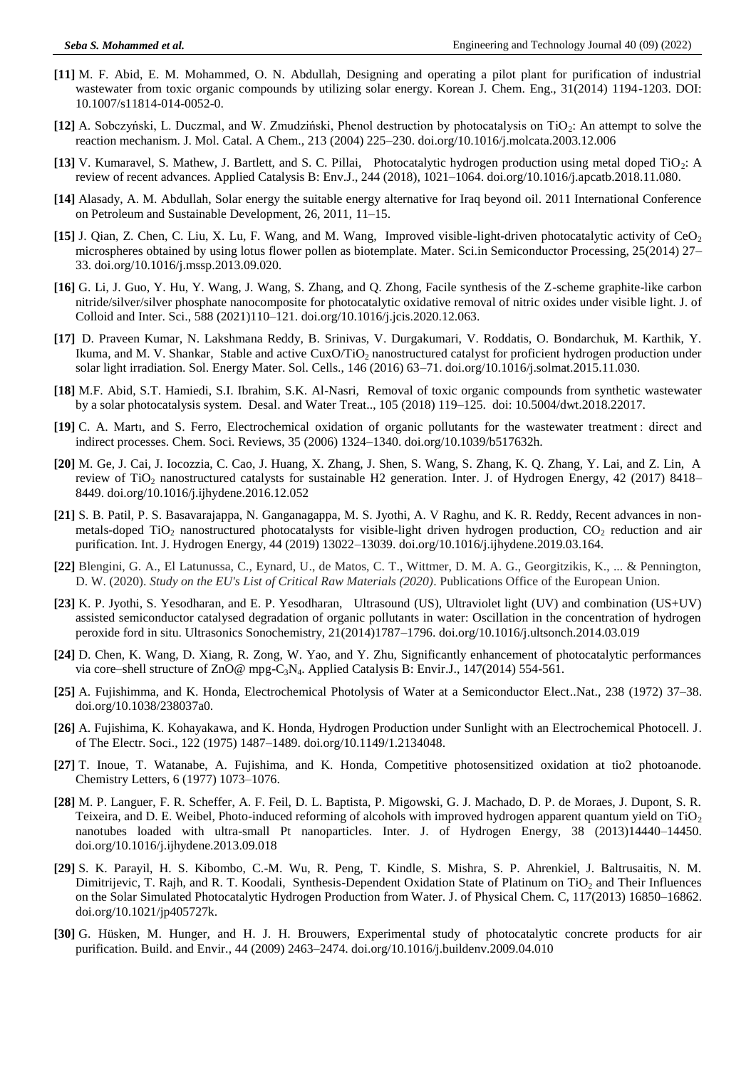- **[11]** M. F. Abid, E. M. Mohammed, O. N. Abdullah, Designing and operating a pilot plant for purification of industrial wastewater from toxic organic compounds by utilizing solar energy. Korean J. Chem. Eng., 31(2014) 1194-1203. DOI: 10.1007/s11814-014-0052-0.
- **[12]** A. Sobczyński, L. Duczmal, and W. Zmudziński, Phenol destruction by photocatalysis on TiO2: An attempt to solve the reaction mechanism. J. Mol. Catal. A Chem., 213 (2004) 225–230. doi.org/10.1016/j.molcata.2003.12.006
- **[13]** V. Kumaravel, S. Mathew, J. Bartlett, and S. C. Pillai, Photocatalytic hydrogen production using metal doped TiO2: A review of recent advances. Applied Catalysis B: Env.J., 244 (2018), 1021–1064. doi.org/10.1016/j.apcatb.2018.11.080.
- **[14]** Alasady, A. M. Abdullah, Solar energy the suitable energy alternative for Iraq beyond oil. 2011 International Conference on Petroleum and Sustainable Development, 26, 2011, 11–15.
- **[15]** J. Qian, Z. Chen, C. Liu, X. Lu, F. Wang, and M. Wang, Improved visible-light-driven photocatalytic activity of CeO<sup>2</sup> microspheres obtained by using lotus flower pollen as biotemplate. Mater. Sci.in Semiconductor Processing, 25(2014) 27– 33. doi.org/10.1016/j.mssp.2013.09.020.
- **[16]** G. Li, J. Guo, Y. Hu, Y. Wang, J. Wang, S. Zhang, and Q. Zhong, Facile synthesis of the Z-scheme graphite-like carbon nitride/silver/silver phosphate nanocomposite for photocatalytic oxidative removal of nitric oxides under visible light. J. of Colloid and Inter. Sci., 588 (2021)110–121. doi.org/10.1016/j.jcis.2020.12.063.
- **[17]** D. Praveen Kumar, N. Lakshmana Reddy, B. Srinivas, V. Durgakumari, V. Roddatis, O. Bondarchuk, M. Karthik, Y. Ikuma, and M. V. Shankar, Stable and active CuxO/TiO<sub>2</sub> nanostructured catalyst for proficient hydrogen production under solar light irradiation. Sol. Energy Mater. Sol. Cells., 146 (2016) 63–71. doi.org/10.1016/j.solmat.2015.11.030.
- **[18]** M.F. Abid, S.T. Hamiedi, S.I. Ibrahim, S.K. Al-Nasri, Removal of toxic organic compounds from synthetic wastewater by a solar photocatalysis system. Desal. and Water Treat.., 105 (2018) 119–125. doi: 10.5004/dwt.2018.22017.
- **[19]** C. A. Martı, and S. Ferro, Electrochemical oxidation of organic pollutants for the wastewater treatment : direct and indirect processes. Chem. Soci. Reviews, 35 (2006) 1324–1340. doi.org/10.1039/b517632h.
- **[20]** M. Ge, J. Cai, J. Iocozzia, C. Cao, J. Huang, X. Zhang, J. Shen, S. Wang, S. Zhang, K. Q. Zhang, Y. Lai, and Z. Lin, A review of TiO<sub>2</sub> nanostructured catalysts for sustainable H2 generation. Inter. J. of Hydrogen Energy, 42 (2017) 8418– 8449. doi.org/10.1016/j.ijhydene.2016.12.052
- **[21]** S. B. Patil, P. S. Basavarajappa, N. Ganganagappa, M. S. Jyothi, A. V Raghu, and K. R. Reddy, Recent advances in nonmetals-doped TiO<sub>2</sub> nanostructured photocatalysts for visible-light driven hydrogen production,  $CO<sub>2</sub>$  reduction and air purification. Int. J. Hydrogen Energy, 44 (2019) 13022–13039. doi.org/10.1016/j.ijhydene.2019.03.164.
- **[22]** Blengini, G. A., El Latunussa, C., Eynard, U., de Matos, C. T., Wittmer, D. M. A. G., Georgitzikis, K., ... & Pennington, D. W. (2020). *Study on the EU's List of Critical Raw Materials (2020)*. Publications Office of the European Union.
- **[23]** K. P. Jyothi, S. Yesodharan, and E. P. Yesodharan, Ultrasound (US), Ultraviolet light (UV) and combination (US+UV) assisted semiconductor catalysed degradation of organic pollutants in water: Oscillation in the concentration of hydrogen peroxide ford in situ. Ultrasonics Sonochemistry, 21(2014)1787–1796. doi.org/10.1016/j.ultsonch.2014.03.019
- **[24]** D. Chen, K. Wang, D. Xiang, R. Zong, W. Yao, and Y. Zhu, Significantly enhancement of photocatalytic performances via core–shell structure of  $ZnO@$  mpg- $C_3N_4$ . Applied Catalysis B: Envir.J., 147(2014) 554-561.
- **[25]** A. Fujishimma, and K. Honda, Electrochemical Photolysis of Water at a Semiconductor Elect..Nat., 238 (1972) 37–38. doi.org/10.1038/238037a0.
- **[26]** A. Fujishima, K. Kohayakawa, and K. Honda, Hydrogen Production under Sunlight with an Electrochemical Photocell. J. of The Electr. Soci., 122 (1975) 1487–1489. doi.org/10.1149/1.2134048.
- **[27]** T. Inoue, T. Watanabe, A. Fujishima, and K. Honda, Competitive photosensitized oxidation at tio2 photoanode. Chemistry Letters, 6 (1977) 1073–1076.
- **[28]** M. P. Languer, F. R. Scheffer, A. F. Feil, D. L. Baptista, P. Migowski, G. J. Machado, D. P. de Moraes, J. Dupont, S. R. Teixeira, and D. E. Weibel, Photo-induced reforming of alcohols with improved hydrogen apparent quantum yield on  $TiO<sub>2</sub>$ nanotubes loaded with ultra-small Pt nanoparticles. Inter. J. of Hydrogen Energy, 38 (2013)14440–14450. doi.org/10.1016/j.ijhydene.2013.09.018
- **[29]** S. K. Parayil, H. S. Kibombo, C.-M. Wu, R. Peng, T. Kindle, S. Mishra, S. P. Ahrenkiel, J. Baltrusaitis, N. M. Dimitrijevic, T. Rajh, and R. T. Koodali, Synthesis-Dependent Oxidation State of Platinum on TiO<sub>2</sub> and Their Influences on the Solar Simulated Photocatalytic Hydrogen Production from Water. J. of Physical Chem. C, 117(2013) 16850–16862. doi.org/10.1021/jp405727k.
- **[30]** G. Hüsken, M. Hunger, and H. J. H. Brouwers, Experimental study of photocatalytic concrete products for air purification. Build. and Envir., 44 (2009) 2463–2474. doi.org/10.1016/j.buildenv.2009.04.010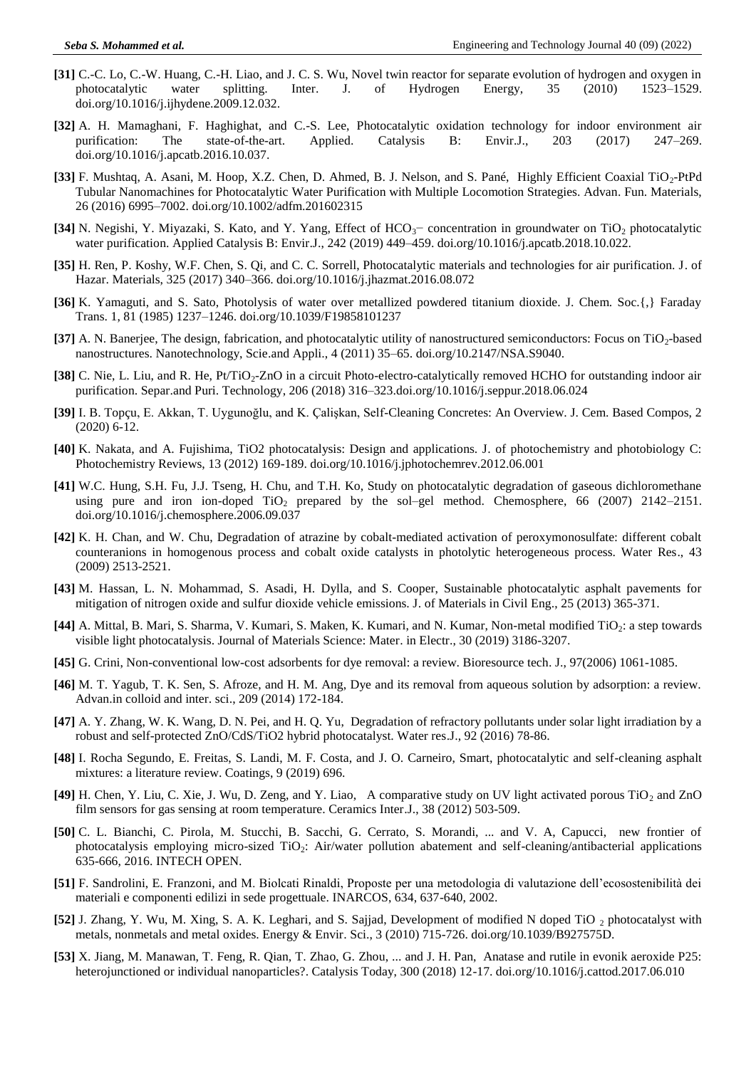- **[31]** C.-C. Lo, C.-W. Huang, C.-H. Liao, and J. C. S. Wu, Novel twin reactor for separate evolution of hydrogen and oxygen in photocatalytic water splitting. Inter. J. of Hydrogen Energy, 35 (2010) 1523–1529. doi.org/10.1016/j.ijhydene.2009.12.032.
- **[32]** A. H. Mamaghani, F. Haghighat, and C.-S. Lee, Photocatalytic oxidation technology for indoor environment air purification: The state-of-the-art. Applied. Catalysis B: Envir.J., 203 (2017) 247–269. doi.org/10.1016/j.apcatb.2016.10.037.
- **[33]** F. Mushtaq, A. Asani, M. Hoop, X.Z. Chen, D. Ahmed, B. J. Nelson, and S. Pané, Highly Efficient Coaxial TiO2-PtPd Tubular Nanomachines for Photocatalytic Water Purification with Multiple Locomotion Strategies. Advan. Fun. Materials, 26 (2016) 6995–7002. doi.org/10.1002/adfm.201602315
- **[34]** N. Negishi, Y. Miyazaki, S. Kato, and Y. Yang, Effect of HCO<sub>3</sub>− concentration in groundwater on TiO<sub>2</sub> photocatalytic water purification. Applied Catalysis B: Envir.J., 242 (2019) 449–459. doi.org/10.1016/j.apcatb.2018.10.022.
- **[35]** H. Ren, P. Koshy, W.F. Chen, S. Qi, and C. C. Sorrell, Photocatalytic materials and technologies for air purification. J. of Hazar. Materials, 325 (2017) 340–366. doi.org/10.1016/j.jhazmat.2016.08.072
- **[36]** K. Yamaguti, and S. Sato, Photolysis of water over metallized powdered titanium dioxide. J. Chem. Soc.{,} Faraday Trans. 1, 81 (1985) 1237–1246. doi.org/10.1039/F19858101237
- **[37]** A. N. Banerjee, The design, fabrication, and photocatalytic utility of nanostructured semiconductors: Focus on TiO2-based nanostructures. Nanotechnology, Scie.and Appli., 4 (2011) 35–65. doi.org/10.2147/NSA.S9040.
- **[38]** C. Nie, L. Liu, and R. He, Pt/TiO2-ZnO in a circuit Photo-electro-catalytically removed HCHO for outstanding indoor air purification. Separ.and Puri. Technology, 206 (2018) 316–323.doi.org/10.1016/j.seppur.2018.06.024
- **[39]** I. B. Topçu, E. Akkan, T. Uygunoğlu, and K. Çalişkan, Self-Cleaning Concretes: An Overview. J. Cem. Based Compos, 2 (2020) 6-12.
- **[40]** K. Nakata, and A. Fujishima, TiO2 photocatalysis: Design and applications. J. of photochemistry and photobiology C: Photochemistry Reviews, 13 (2012) 169-189. doi.org/10.1016/j.jphotochemrev.2012.06.001
- **[41]** W.C. Hung, S.H. Fu, J.J. Tseng, H. Chu, and T.H. Ko, Study on photocatalytic degradation of gaseous dichloromethane using pure and iron ion-doped  $TiO<sub>2</sub>$  prepared by the sol–gel method. Chemosphere, 66 (2007) 2142–2151. doi.org/10.1016/j.chemosphere.2006.09.037
- **[42]** K. H. Chan, and W. Chu, Degradation of atrazine by cobalt-mediated activation of peroxymonosulfate: different cobalt counteranions in homogenous process and cobalt oxide catalysts in photolytic heterogeneous process. Water Res., 43 (2009) 2513-2521.
- **[43]** M. Hassan, L. N. Mohammad, S. Asadi, H. Dylla, and S. Cooper, Sustainable photocatalytic asphalt pavements for mitigation of nitrogen oxide and sulfur dioxide vehicle emissions. J. of Materials in Civil Eng., 25 (2013) 365-371.
- **[44]** A. Mittal, B. Mari, S. Sharma, V. Kumari, S. Maken, K. Kumari, and N. Kumar, Non-metal modified TiO2: a step towards visible light photocatalysis. Journal of Materials Science: Mater. in Electr., 30 (2019) 3186-3207.
- **[45]** G. Crini, Non-conventional low-cost adsorbents for dye removal: a review. Bioresource tech. J., 97(2006) 1061-1085.
- **[46]** M. T. Yagub, T. K. Sen, S. Afroze, and H. M. Ang, Dye and its removal from aqueous solution by adsorption: a review. Advan.in colloid and inter. sci., 209 (2014) 172-184.
- **[47]** A. Y. Zhang, W. K. Wang, D. N. Pei, and H. Q. Yu, Degradation of refractory pollutants under solar light irradiation by a robust and self-protected ZnO/CdS/TiO2 hybrid photocatalyst. Water res.J., 92 (2016) 78-86.
- **[48]** I. Rocha Segundo, E. Freitas, S. Landi, M. F. Costa, and J. O. Carneiro, Smart, photocatalytic and self-cleaning asphalt mixtures: a literature review. Coatings, 9 (2019) 696.
- [49] H. Chen, Y. Liu, C. Xie, J. Wu, D. Zeng, and Y. Liao, A comparative study on UV light activated porous TiO<sub>2</sub> and ZnO film sensors for gas sensing at room temperature. Ceramics Inter.J., 38 (2012) 503-509.
- **[50]** C. L. Bianchi, C. Pirola, M. Stucchi, B. Sacchi, G. Cerrato, S. Morandi, ... and V. A, Capucci, new frontier of photocatalysis employing micro-sized TiO<sub>2</sub>: Air/water pollution abatement and self-cleaning/antibacterial applications 635-666, 2016. INTECH OPEN.
- **[51]** F. Sandrolini, E. Franzoni, and M. Biolcati Rinaldi, Proposte per una metodologia di valutazione dell'ecosostenibilità dei materiali e componenti edilizi in sede progettuale. INARCOS, 634, 637-640, 2002.
- **[52]** J. Zhang, Y. Wu, M. Xing, S. A. K. Leghari, and S. Sajjad, Development of modified N doped TiO 2 photocatalyst with metals, nonmetals and metal oxides. Energy & Envir. Sci., 3 (2010) 715-726. doi.org/10.1039/B927575D.
- **[53]** X. Jiang, M. Manawan, T. Feng, R. Qian, T. Zhao, G. Zhou, ... and J. H. Pan, Anatase and rutile in evonik aeroxide P25: heterojunctioned or individual nanoparticles?. Catalysis Today, 300 (2018) 12-17. doi.org/10.1016/j.cattod.2017.06.010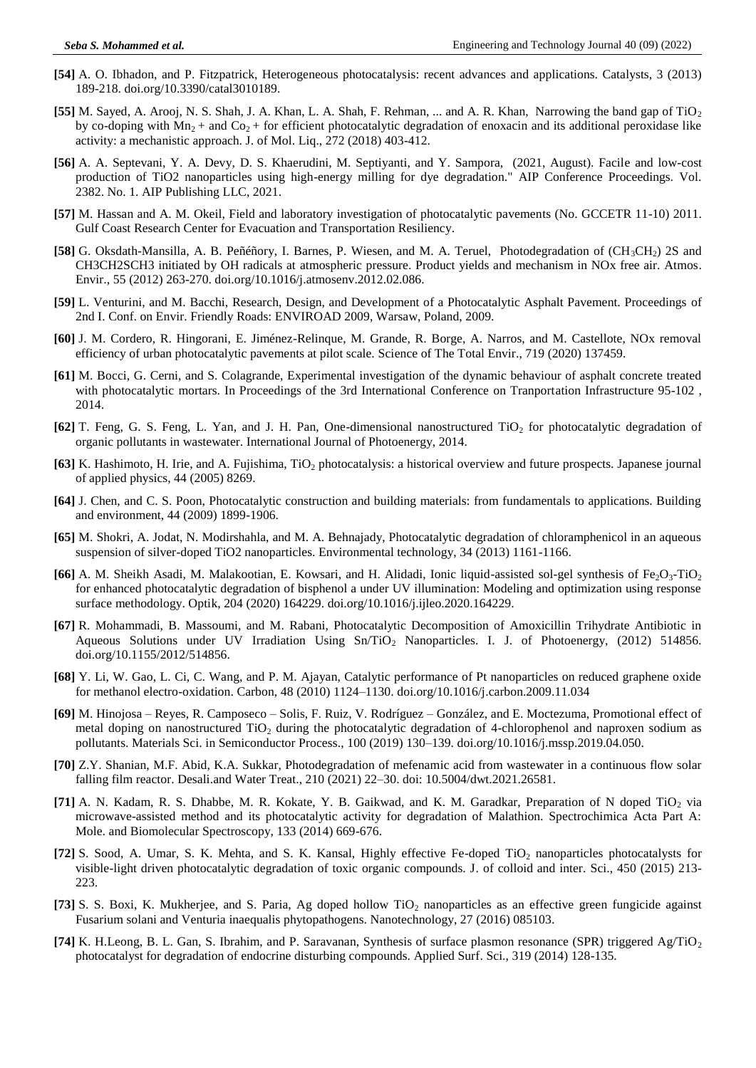- **[54]** A. O. Ibhadon, and P. Fitzpatrick, Heterogeneous photocatalysis: recent advances and applications. Catalysts, 3 (2013) 189-218. doi.org/10.3390/catal3010189.
- **[55]** M. Sayed, A. Arooj, N. S. Shah, J. A. Khan, L. A. Shah, F. Rehman, ... and A. R. Khan, Narrowing the band gap of TiO<sup>2</sup> by co-doping with  $Mn<sub>2</sub> +$  and  $Co<sub>2</sub> +$  for efficient photocatalytic degradation of enoxacin and its additional peroxidase like activity: a mechanistic approach. J. of Mol. Liq., 272 (2018) 403-412.
- **[56]** A. A. Septevani, Y. A. Devy, D. S. Khaerudini, M. Septiyanti, and Y. Sampora, (2021, August). Facile and low-cost production of TiO2 nanoparticles using high-energy milling for dye degradation." AIP Conference Proceedings. Vol. 2382. No. 1. AIP Publishing LLC, 2021.
- **[57]** M. Hassan and A. M. Okeil, Field and laboratory investigation of photocatalytic pavements (No. GCCETR 11-10) 2011. Gulf Coast Research Center for Evacuation and Transportation Resiliency.
- **[58]** G. Oksdath-Mansilla, A. B. Peñéñory, I. Barnes, P. Wiesen, and M. A. Teruel, Photodegradation of (CH<sub>3</sub>CH<sub>2</sub>) 2S and CH3CH2SCH3 initiated by OH radicals at atmospheric pressure. Product yields and mechanism in NOx free air. Atmos. Envir., 55 (2012) 263-270. doi.org/10.1016/j.atmosenv.2012.02.086.
- **[59]** L. Venturini, and M. Bacchi, Research, Design, and Development of a Photocatalytic Asphalt Pavement. Proceedings of 2nd I. Conf. on Envir. Friendly Roads: ENVIROAD 2009, Warsaw, Poland, 2009.
- **[60]** J. M. Cordero, R. Hingorani, E. Jiménez-Relinque, M. Grande, R. Borge, A. Narros, and M. Castellote, NOx removal efficiency of urban photocatalytic pavements at pilot scale. Science of The Total Envir., 719 (2020) 137459.
- **[61]** M. Bocci, G. Cerni, and S. Colagrande, Experimental investigation of the dynamic behaviour of asphalt concrete treated with photocatalytic mortars. In Proceedings of the 3rd International Conference on Tranportation Infrastructure 95-102 , 2014.
- **[62]** T. Feng, G. S. Feng, L. Yan, and J. H. Pan, One-dimensional nanostructured TiO<sub>2</sub> for photocatalytic degradation of organic pollutants in wastewater. International Journal of Photoenergy, 2014.
- [63] K. Hashimoto, H. Irie, and A. Fujishima, TiO<sub>2</sub> photocatalysis: a historical overview and future prospects. Japanese journal of applied physics, 44 (2005) 8269.
- **[64]** J. Chen, and C. S. Poon, Photocatalytic construction and building materials: from fundamentals to applications. Building and environment, 44 (2009) 1899-1906.
- **[65]** M. Shokri, A. Jodat, N. Modirshahla, and M. A. Behnajady, Photocatalytic degradation of chloramphenicol in an aqueous suspension of silver-doped TiO2 nanoparticles. Environmental technology, 34 (2013) 1161-1166.
- **[66]** A. M. Sheikh Asadi, M. Malakootian, E. Kowsari, and H. Alidadi, Ionic liquid-assisted sol-gel synthesis of Fe<sub>2</sub>O<sub>3</sub>-TiO<sub>2</sub> for enhanced photocatalytic degradation of bisphenol a under UV illumination: Modeling and optimization using response surface methodology. Optik, 204 (2020) 164229. doi.org/10.1016/j.ijleo.2020.164229.
- **[67]** R. Mohammadi, B. Massoumi, and M. Rabani, Photocatalytic Decomposition of Amoxicillin Trihydrate Antibiotic in Aqueous Solutions under UV Irradiation Using Sn/TiO<sub>2</sub> Nanoparticles. I. J. of Photoenergy, (2012) 514856. doi.org/10.1155/2012/514856.
- **[68]** Y. Li, W. Gao, L. Ci, C. Wang, and P. M. Ajayan, Catalytic performance of Pt nanoparticles on reduced graphene oxide for methanol electro-oxidation. Carbon, 48 (2010) 1124–1130. doi.org/10.1016/j.carbon.2009.11.034
- **[69]** M. Hinojosa Reyes, R. Camposeco Solis, F. Ruiz, V. Rodríguez González, and E. Moctezuma, Promotional effect of metal doping on nanostructured  $TiO<sub>2</sub>$  during the photocatalytic degradation of 4-chlorophenol and naproxen sodium as pollutants. Materials Sci. in Semiconductor Process., 100 (2019) 130–139. doi.org/10.1016/j.mssp.2019.04.050.
- **[70]** Z.Y. Shanian, M.F. Abid, K.A. Sukkar, Photodegradation of mefenamic acid from wastewater in a continuous flow solar falling film reactor. Desali.and Water Treat., 210 (2021) 22–30. doi: 10.5004/dwt.2021.26581.
- [71] A. N. Kadam, R. S. Dhabbe, M. R. Kokate, Y. B. Gaikwad, and K. M. Garadkar, Preparation of N doped TiO<sub>2</sub> via microwave-assisted method and its photocatalytic activity for degradation of Malathion. Spectrochimica Acta Part A: Mole. and Biomolecular Spectroscopy, 133 (2014) 669-676.
- **[72]** S. Sood, A. Umar, S. K. Mehta, and S. K. Kansal, Highly effective Fe-doped TiO<sup>2</sup> nanoparticles photocatalysts for visible-light driven photocatalytic degradation of toxic organic compounds. J. of colloid and inter. Sci., 450 (2015) 213- 223.
- [73] S. S. Boxi, K. Mukherjee, and S. Paria, Ag doped hollow TiO<sub>2</sub> nanoparticles as an effective green fungicide against Fusarium solani and Venturia inaequalis phytopathogens. Nanotechnology, 27 (2016) 085103.
- **[74]** K. H.Leong, B. L. Gan, S. Ibrahim, and P. Saravanan, Synthesis of surface plasmon resonance (SPR) triggered Ag/TiO<sup>2</sup> photocatalyst for degradation of endocrine disturbing compounds. Applied Surf. Sci., 319 (2014) 128-135.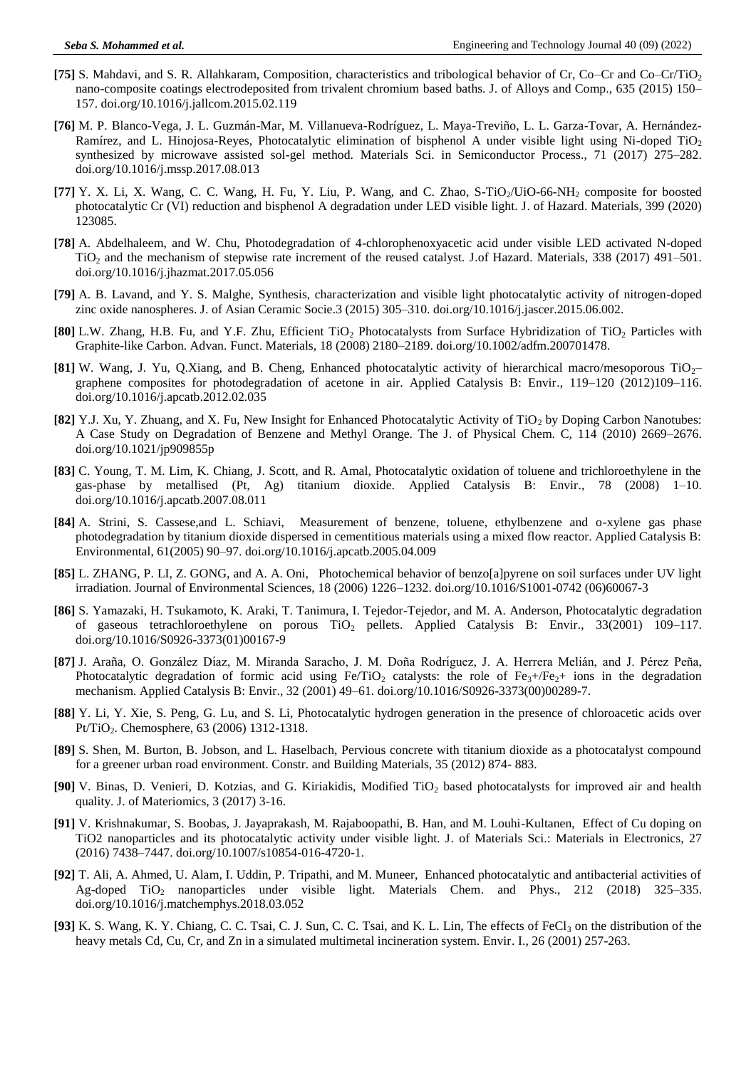- **[75]** S. Mahdavi, and S. R. Allahkaram, Composition, characteristics and tribological behavior of Cr, Co–Cr and Co–Cr/TiO<sup>2</sup> nano-composite coatings electrodeposited from trivalent chromium based baths. J. of Alloys and Comp., 635 (2015) 150– 157. doi.org/10.1016/j.jallcom.2015.02.119
- **[76]** M. P. Blanco-Vega, J. L. Guzmán-Mar, M. Villanueva-Rodríguez, L. Maya-Treviño, L. L. Garza-Tovar, A. Hernández-Ramírez, and L. Hinojosa-Reyes, Photocatalytic elimination of bisphenol A under visible light using Ni-doped TiO<sup>2</sup> synthesized by microwave assisted sol-gel method. Materials Sci. in Semiconductor Process., 71 (2017) 275–282. doi.org/10.1016/j.mssp.2017.08.013
- **[77]** Y. X. Li, X. Wang, C. C. Wang, H. Fu, Y. Liu, P. Wang, and C. Zhao, S-TiO<sub>2</sub>/UiO-66-NH<sub>2</sub> composite for boosted photocatalytic Cr (VI) reduction and bisphenol A degradation under LED visible light. J. of Hazard. Materials, 399 (2020) 123085.
- **[78]** A. Abdelhaleem, and W. Chu, Photodegradation of 4-chlorophenoxyacetic acid under visible LED activated N-doped TiO<sub>2</sub> and the mechanism of stepwise rate increment of the reused catalyst. J.of Hazard. Materials, 338 (2017) 491–501. doi.org/10.1016/j.jhazmat.2017.05.056
- **[79]** A. B. Lavand, and Y. S. Malghe, Synthesis, characterization and visible light photocatalytic activity of nitrogen-doped zinc oxide nanospheres. J. of Asian Ceramic Socie.3 (2015) 305–310. doi.org/10.1016/j.jascer.2015.06.002.
- **[80]** L.W. Zhang, H.B. Fu, and Y.F. Zhu, Efficient TiO<sub>2</sub> Photocatalysts from Surface Hybridization of TiO<sub>2</sub> Particles with Graphite-like Carbon. Advan. Funct. Materials, 18 (2008) 2180–2189. doi.org/10.1002/adfm.200701478.
- **[81]** W. Wang, J. Yu, Q.Xiang, and B. Cheng, Enhanced photocatalytic activity of hierarchical macro/mesoporous TiO<sub>2</sub>– graphene composites for photodegradation of acetone in air. Applied Catalysis B: Envir., 119–120 (2012)109–116. doi.org/10.1016/j.apcatb.2012.02.035
- **[82]** Y.J. Xu, Y. Zhuang, and X. Fu, New Insight for Enhanced Photocatalytic Activity of TiO<sub>2</sub> by Doping Carbon Nanotubes: A Case Study on Degradation of Benzene and Methyl Orange. The J. of Physical Chem. C, 114 (2010) 2669–2676. doi.org/10.1021/jp909855p
- **[83]** C. Young, T. M. Lim, K. Chiang, J. Scott, and R. Amal, Photocatalytic oxidation of toluene and trichloroethylene in the gas-phase by metallised (Pt, Ag) titanium dioxide. Applied Catalysis B: Envir., 78 (2008) 1–10. doi.org/10.1016/j.apcatb.2007.08.011
- **[84]** A. Strini, S. Cassese,and L. Schiavi, Measurement of benzene, toluene, ethylbenzene and o-xylene gas phase photodegradation by titanium dioxide dispersed in cementitious materials using a mixed flow reactor. Applied Catalysis B: Environmental, 61(2005) 90–97. doi.org/10.1016/j.apcatb.2005.04.009
- **[85]** L. ZHANG, P. LI, Z. GONG, and A. A. Oni, Photochemical behavior of benzo[a]pyrene on soil surfaces under UV light irradiation. Journal of Environmental Sciences, 18 (2006) 1226–1232. doi.org/10.1016/S1001-0742 (06)60067-3
- **[86]** S. Yamazaki, H. Tsukamoto, K. Araki, T. Tanimura, I. Tejedor-Tejedor, and M. A. Anderson, Photocatalytic degradation of gaseous tetrachloroethylene on porous TiO<sub>2</sub> pellets. Applied Catalysis B: Envir., 33(2001) 109–117. doi.org/10.1016/S0926-3373(01)00167-9
- <sup>[87]</sup> J. Araña, O. González Díaz, M. Miranda Saracho, J. M. Doña Rodríguez, J. A. Herrera Melián, and J. Pérez Peña, Photocatalytic degradation of formic acid using Fe/TiO<sub>2</sub> catalysts: the role of Fe<sub>3</sub>+/Fe<sub>2</sub>+ ions in the degradation mechanism. Applied Catalysis B: Envir., 32 (2001) 49–61. doi.org/10.1016/S0926-3373(00)00289-7.
- **[88]** Y. Li, Y. Xie, S. Peng, G. Lu, and S. Li, Photocatalytic hydrogen generation in the presence of chloroacetic acids over Pt/TiO<sub>2</sub>. Chemosphere, 63 (2006) 1312-1318.
- **[89]** S. Shen, M. Burton, B. Jobson, and L. Haselbach, Pervious concrete with titanium dioxide as a photocatalyst compound for a greener urban road environment. Constr. and Building Materials, 35 (2012) 874- 883.
- [90] V. Binas, D. Venieri, D. Kotzias, and G. Kiriakidis, Modified TiO<sub>2</sub> based photocatalysts for improved air and health quality. J. of Materiomics, 3 (2017) 3-16.
- **[91]** V. Krishnakumar, S. Boobas, J. Jayaprakash, M. Rajaboopathi, B. Han, and M. Louhi-Kultanen, Effect of Cu doping on TiO2 nanoparticles and its photocatalytic activity under visible light. J. of Materials Sci.: Materials in Electronics, 27 (2016) 7438–7447. doi.org/10.1007/s10854-016-4720-1.
- **[92]** T. Ali, A. Ahmed, U. Alam, I. Uddin, P. Tripathi, and M. Muneer, Enhanced photocatalytic and antibacterial activities of Ag-doped TiO<sub>2</sub> nanoparticles under visible light. Materials Chem. and Phys., 212 (2018) 325–335. doi.org/10.1016/j.matchemphys.2018.03.052
- [93] K. S. Wang, K. Y. Chiang, C. C. Tsai, C. J. Sun, C. C. Tsai, and K. L. Lin, The effects of FeCl<sub>3</sub> on the distribution of the heavy metals Cd, Cu, Cr, and Zn in a simulated multimetal incineration system. Envir. I., 26 (2001) 257-263.